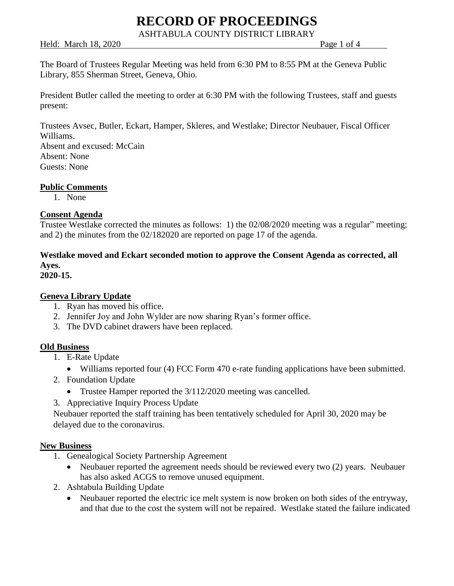ASHTABULA COUNTY DISTRICT LIBRARY

Held: March 18, 2020 **Page 1 of 4** 

The Board of Trustees Regular Meeting was held from 6:30 PM to 8:55 PM at the Geneva Public Library, 855 Sherman Street, Geneva, Ohio.

President Butler called the meeting to order at 6:30 PM with the following Trustees, staff and guests present:

Trustees Avsec, Butler, Eckart, Hamper, Skleres, and Westlake; Director Neubauer, Fiscal Officer Williams.

Absent and excused: McCain Absent: None Guests: None

## **Public Comments**

1. None

## **Consent Agenda**

Trustee Westlake corrected the minutes as follows: 1) the 02/08/2020 meeting was a regular" meeting; and 2) the minutes from the 02/182020 are reported on page 17 of the agenda.

## **Westlake moved and Eckart seconded motion to approve the Consent Agenda as corrected, all Ayes.**

**2020-15.**

## **Geneva Library Update**

- 1. Ryan has moved his office.
- 2. Jennifer Joy and John Wylder are now sharing Ryan's former office.
- 3. The DVD cabinet drawers have been replaced.

## **Old Business**

- 1. E-Rate Update
	- Williams reported four (4) FCC Form 470 e-rate funding applications have been submitted.
- 2. Foundation Update
	- Trustee Hamper reported the 3/112/2020 meeting was cancelled.
- 3. Appreciative Inquiry Process Update

Neubauer reported the staff training has been tentatively scheduled for April 30, 2020 may be delayed due to the coronavirus.

## **New Business**

- 1. Genealogical Society Partnership Agreement
	- Neubauer reported the agreement needs should be reviewed every two (2) years. Neubauer has also asked ACGS to remove unused equipment.
- 2. Ashtabula Building Update
	- Neubauer reported the electric ice melt system is now broken on both sides of the entryway, and that due to the cost the system will not be repaired. Westlake stated the failure indicated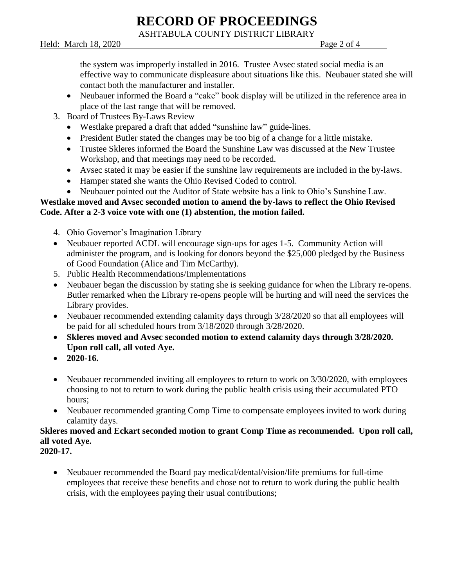ASHTABULA COUNTY DISTRICT LIBRARY

Held: March 18, 2020 **Page 2 of 4** 

the system was improperly installed in 2016. Trustee Avsec stated social media is an effective way to communicate displeasure about situations like this. Neubauer stated she will contact both the manufacturer and installer.

- Neubauer informed the Board a "cake" book display will be utilized in the reference area in place of the last range that will be removed.
- 3. Board of Trustees By-Laws Review
	- Westlake prepared a draft that added "sunshine law" guide-lines.
	- President Butler stated the changes may be too big of a change for a little mistake.
	- Trustee Skleres informed the Board the Sunshine Law was discussed at the New Trustee Workshop, and that meetings may need to be recorded.
	- Avsec stated it may be easier if the sunshine law requirements are included in the by-laws.
	- Hamper stated she wants the Ohio Revised Coded to control.
	- Neubauer pointed out the Auditor of State website has a link to Ohio's Sunshine Law.

## **Westlake moved and Avsec seconded motion to amend the by-laws to reflect the Ohio Revised Code. After a 2-3 voice vote with one (1) abstention, the motion failed.**

- 4. Ohio Governor's Imagination Library
- Neubauer reported ACDL will encourage sign-ups for ages 1-5. Community Action will administer the program, and is looking for donors beyond the \$25,000 pledged by the Business of Good Foundation (Alice and Tim McCarthy).
- 5. Public Health Recommendations/Implementations
- Neubauer began the discussion by stating she is seeking guidance for when the Library re-opens. Butler remarked when the Library re-opens people will be hurting and will need the services the Library provides.
- Neubauer recommended extending calamity days through  $3/28/2020$  so that all employees will be paid for all scheduled hours from 3/18/2020 through 3/28/2020.
- **Skleres moved and Avsec seconded motion to extend calamity days through 3/28/2020. Upon roll call, all voted Aye.**
- **2020-16.**
- Neubauer recommended inviting all employees to return to work on  $3/30/2020$ , with employees choosing to not to return to work during the public health crisis using their accumulated PTO hours;
- Neubauer recommended granting Comp Time to compensate employees invited to work during calamity days.

## **Skleres moved and Eckart seconded motion to grant Comp Time as recommended. Upon roll call, all voted Aye.**

**2020-17.**

• Neubauer recommended the Board pay medical/dental/vision/life premiums for full-time employees that receive these benefits and chose not to return to work during the public health crisis, with the employees paying their usual contributions;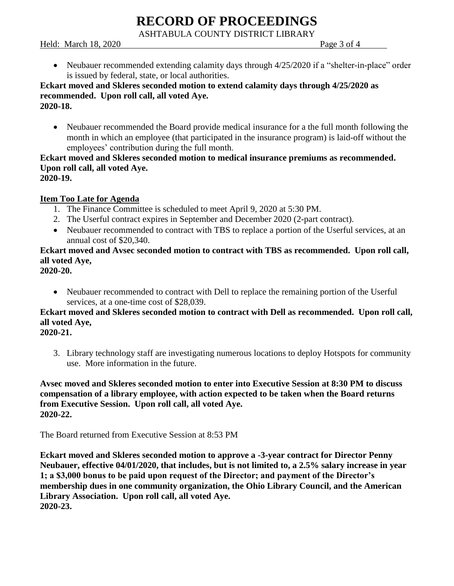ASHTABULA COUNTY DISTRICT LIBRARY

Held: March 18, 2020  $\qquad \qquad$  Page 3 of 4

• Neubauer recommended extending calamity days through 4/25/2020 if a "shelter-in-place" order is issued by federal, state, or local authorities.

#### **Eckart moved and Skleres seconded motion to extend calamity days through 4/25/2020 as recommended. Upon roll call, all voted Aye. 2020-18.**

• Neubauer recommended the Board provide medical insurance for a the full month following the month in which an employee (that participated in the insurance program) is laid-off without the employees' contribution during the full month.

#### **Eckart moved and Skleres seconded motion to medical insurance premiums as recommended. Upon roll call, all voted Aye. 2020-19.**

## **Item Too Late for Agenda**

- 1. The Finance Committee is scheduled to meet April 9, 2020 at 5:30 PM.
- 2. The Userful contract expires in September and December 2020 (2-part contract).
- Neubauer recommended to contract with TBS to replace a portion of the Userful services, at an annual cost of \$20,340.

## **Eckart moved and Avsec seconded motion to contract with TBS as recommended. Upon roll call, all voted Aye,**

**2020-20.**

• Neubauer recommended to contract with Dell to replace the remaining portion of the Userful services, at a one-time cost of \$28,039.

## **Eckart moved and Skleres seconded motion to contract with Dell as recommended. Upon roll call, all voted Aye,**

**2020-21.**

3. Library technology staff are investigating numerous locations to deploy Hotspots for community use. More information in the future.

#### **Avsec moved and Skleres seconded motion to enter into Executive Session at 8:30 PM to discuss compensation of a library employee, with action expected to be taken when the Board returns from Executive Session. Upon roll call, all voted Aye. 2020-22.**

The Board returned from Executive Session at 8:53 PM

**Eckart moved and Skleres seconded motion to approve a -3-year contract for Director Penny Neubauer, effective 04/01/2020, that includes, but is not limited to, a 2.5% salary increase in year 1; a \$3,000 bonus to be paid upon request of the Director; and payment of the Director's membership dues in one community organization, the Ohio Library Council, and the American Library Association. Upon roll call, all voted Aye. 2020-23.**